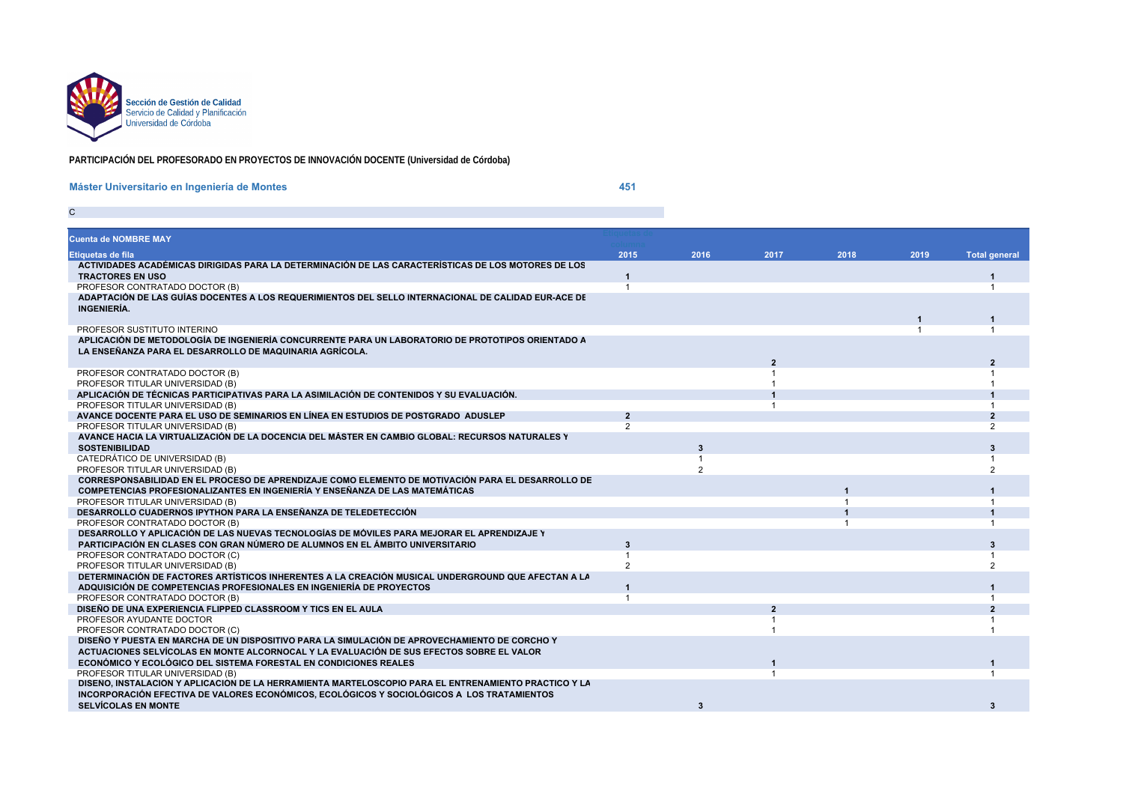

C

## **PARTICIPACIÓN DEL PROFESORADO EN PROYECTOS DE INNOVACIÓN DOCENTE (Universidad de Córdoba)**

SIGNAL CONTRACTOR CONTRACTOR CONTRACTOR CONTRACTOR CONTRACTOR CONTRACTOR CONTRACTOR CONTRACTOR CONTRACTOR CONTRACTOR

## **Máster Universitario en Ingeniería de Montes**

**451 451** 

| <b>Cuenta de NOMBRE MAY</b>                                                                          |                |                |                |      |      |                       |
|------------------------------------------------------------------------------------------------------|----------------|----------------|----------------|------|------|-----------------------|
| Etiquetas de fila                                                                                    | 2015           | 2016           | 2017           | 2018 | 2019 | <b>Total general</b>  |
| ACTIVIDADES ACADÉMICAS DIRIGIDAS PARA LA DETERMINACIÓN DE LAS CARACTERÍSTICAS DE LOS MOTORES DE LOS  |                |                |                |      |      |                       |
| <b>TRACTORES EN USO</b>                                                                              | 1              |                |                |      |      |                       |
| PROFESOR CONTRATADO DOCTOR (B)                                                                       |                |                |                |      |      |                       |
| ADAPTACIÓN DE LAS GUÍAS DOCENTES A LOS REQUERIMIENTOS DEL SELLO INTERNACIONAL DE CALIDAD EUR-ACE DE  |                |                |                |      |      |                       |
| INGENIERÍA.                                                                                          |                |                |                |      |      |                       |
|                                                                                                      |                |                |                |      |      |                       |
| PROFESOR SUSTITUTO INTERINO                                                                          |                |                |                |      |      |                       |
| APLICACIÓN DE METODOLOGÍA DE INGENIERÍA CONCURRENTE PARA UN LABORATORIO DE PROTOTIPOS ORIENTADO A    |                |                |                |      |      |                       |
| LA ENSEÑANZA PARA EL DESARROLLO DE MAQUINARIA AGRÍCOLA.                                              |                |                |                |      |      |                       |
|                                                                                                      |                |                |                |      |      |                       |
| PROFESOR CONTRATADO DOCTOR (B)                                                                       |                |                |                |      |      |                       |
| PROFESOR TITULAR UNIVERSIDAD (B)                                                                     |                |                |                |      |      |                       |
| APLICACIÓN DE TÉCNICAS PARTICIPATIVAS PARA LA ASIMILACIÓN DE CONTENIDOS Y SU EVALUACIÓN.             |                |                |                |      |      |                       |
| PROFESOR TITULAR UNIVERSIDAD (B)                                                                     |                |                |                |      |      |                       |
| AVANCE DOCENTE PARA EL USO DE SEMINARIOS EN LÍNEA EN ESTUDIOS DE POSTGRADO ADUSLEP                   | $\overline{2}$ |                |                |      |      | $\overline{2}$        |
| PROFESOR TITULAR UNIVERSIDAD (B)                                                                     | $\mathcal{P}$  |                |                |      |      | $\overline{2}$        |
| AVANCE HACIA LA VIRTUALIZACIÓN DE LA DOCENCIA DEL MÁSTER EN CAMBIO GLOBAL: RECURSOS NATURALES Y      |                |                |                |      |      |                       |
| <b>SOSTENIBILIDAD</b>                                                                                |                | 3              |                |      |      | 3                     |
| CATEDRÁTICO DE UNIVERSIDAD (B)                                                                       |                |                |                |      |      |                       |
| PROFESOR TITULAR UNIVERSIDAD (B)                                                                     |                | $\mathfrak{p}$ |                |      |      | $\overline{2}$        |
| CORRESPONSABILIDAD EN EL PROCESO DE APRENDIZAJE COMO ELEMENTO DE MOTIVACIÓN PARA EL DESARROLLO DE    |                |                |                |      |      |                       |
| COMPETENCIAS PROFESIONALIZANTES EN INGENIERÍA Y ENSEÑANZA DE LAS MATEMÁTICAS                         |                |                |                |      |      |                       |
| PROFESOR TITULAR UNIVERSIDAD (B)                                                                     |                |                |                |      |      |                       |
| DESARROLLO CUADERNOS IPYTHON PARA LA ENSEÑANZA DE TELEDETECCIÓN                                      |                |                |                |      |      |                       |
| PROFESOR CONTRATADO DOCTOR (B)                                                                       |                |                |                |      |      |                       |
| DESARROLLO Y APLICACIÓN DE LAS NUEVAS TECNOLOGÍAS DE MÓVILES PARA MEJORAR EL APRENDIZAJE Y           |                |                |                |      |      |                       |
| PARTICIPACIÓN EN CLASES CON GRAN NÚMERO DE ALUMNOS EN EL ÁMBITO UNIVERSITARIO                        | 3              |                |                |      |      | $\mathbf{\mathbf{R}}$ |
| PROFESOR CONTRATADO DOCTOR (C)                                                                       |                |                |                |      |      |                       |
| PROFESOR TITULAR UNIVERSIDAD (B)                                                                     | $\mathfrak{p}$ |                |                |      |      |                       |
| DETERMINACIÓN DE FACTORES ARTÍSTICOS INHERENTES A LA CREACIÓN MUSICAL UNDERGROUND QUE AFECTAN A LA   |                |                |                |      |      |                       |
| ADQUISICIÓN DE COMPETENCIAS PROFESIONALES EN INGENIERÍA DE PROYECTOS                                 | 1              |                |                |      |      |                       |
| PROFESOR CONTRATADO DOCTOR (B)                                                                       |                |                |                |      |      |                       |
| DISEÑO DE UNA EXPERIENCIA FLIPPED CLASSROOM Y TICS EN EL AULA                                        |                |                | $\overline{2}$ |      |      | $\overline{2}$        |
| PROFESOR AYUDANTE DOCTOR                                                                             |                |                |                |      |      |                       |
| PROFESOR CONTRATADO DOCTOR (C)                                                                       |                |                |                |      |      |                       |
| DISEÑO Y PUESTA EN MARCHA DE UN DISPOSITIVO PARA LA SIMULACIÓN DE APROVECHAMIENTO DE CORCHO Y        |                |                |                |      |      |                       |
| ACTUACIONES SELVÍCOLAS EN MONTE ALCORNOCAL Y LA EVALUACIÓN DE SUS EFECTOS SOBRE EL VALOR             |                |                |                |      |      |                       |
| ECONÓMICO Y ECOLÓGICO DEL SISTEMA FORESTAL EN CONDICIONES REALES                                     |                |                |                |      |      |                       |
| PROFESOR TITULAR UNIVERSIDAD (B)                                                                     |                |                |                |      |      |                       |
| DISEÑO, INSTALACIÓN Y APLICACIÓN DE LA HERRAMIENTA MARTELOSCOPIO PARA EL ENTRENAMIENTO PRÁCTICO Y LA |                |                |                |      |      |                       |
| INCORPORACIÓN EFECTIVA DE VALORES ECONÓMICOS, ECOLÓGICOS Y SOCIOLÓGICOS A LOS TRATAMIENTOS           |                |                |                |      |      |                       |
| <b>SELVÍCOLAS EN MONTE</b>                                                                           |                | 3              |                |      |      | 3                     |
|                                                                                                      |                |                |                |      |      |                       |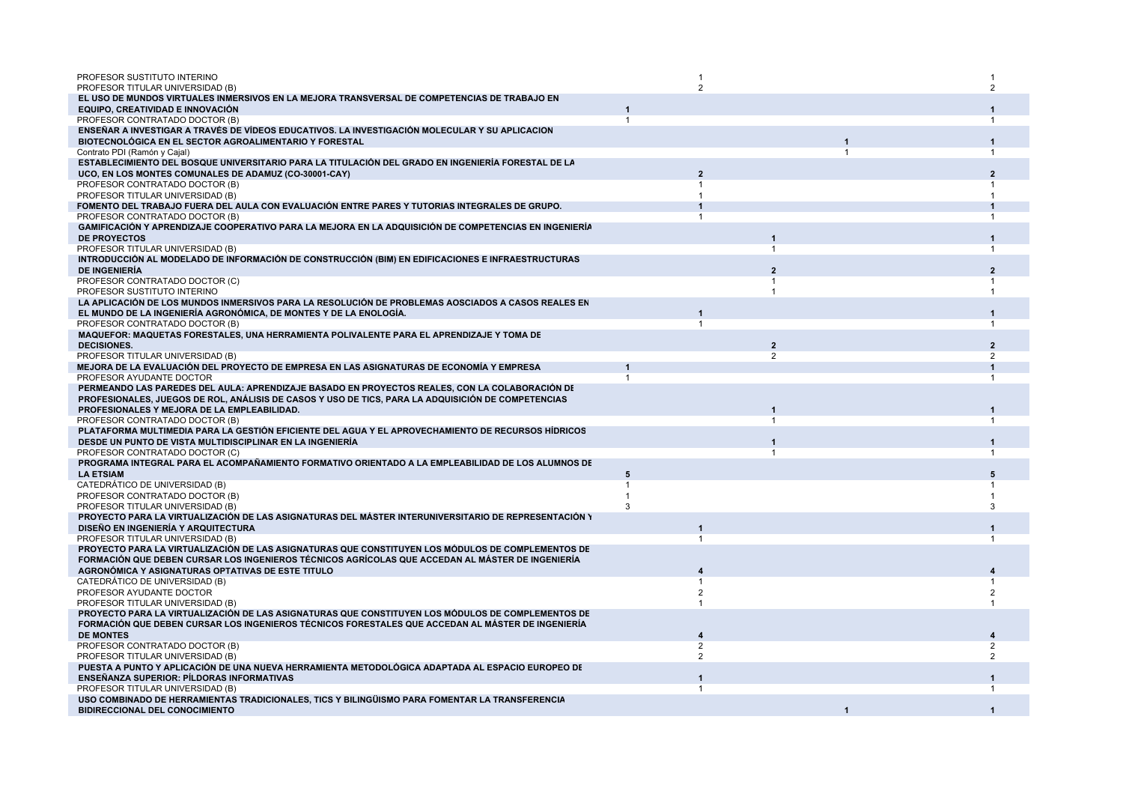| PROFESOR SUSTITUTO INTERINO<br>PROFESOR TITULAR UNIVERSIDAD (B)                                                                                          |   | 2              |                |    |                |
|----------------------------------------------------------------------------------------------------------------------------------------------------------|---|----------------|----------------|----|----------------|
| EL USO DE MUNDOS VIRTUALES INMERSIVOS EN LA MEJORA TRANSVERSAL DE COMPETENCIAS DE TRABAJO EN                                                             |   |                |                |    |                |
| EQUIPO, CREATIVIDAD E INNOVACIÓN                                                                                                                         |   |                |                |    |                |
| PROFESOR CONTRATADO DOCTOR (B)                                                                                                                           |   |                |                |    |                |
| ENSEÑAR A INVESTIGAR A TRAVÉS DE VÍDEOS EDUCATIVOS. LA INVESTIGACIÓN MOLECULAR Y SU APLICACION<br>BIOTECNOLÓGICA EN EL SECTOR AGROALIMENTARIO Y FORESTAL |   |                |                |    |                |
| Contrato PDI (Ramón y Cajal)<br>ESTABLECIMIENTO DEL BOSQUE UNIVERSITARIO PARA LA TITULACIÓN DEL GRADO EN INGENIERÍA FORESTAL DE LA                       |   |                |                | -1 |                |
| UCO, EN LOS MONTES COMUNALES DE ADAMUZ (CO-30001-CAY)                                                                                                    |   | 2              |                |    |                |
| PROFESOR CONTRATADO DOCTOR (B)                                                                                                                           |   |                |                |    |                |
| PROFESOR TITULAR UNIVERSIDAD (B)                                                                                                                         |   |                |                |    |                |
| FOMENTO DEL TRABAJO FUERA DEL AULA CON EVALUACIÓN ENTRE PARES Y TUTORIAS INTEGRALES DE GRUPO.                                                            |   |                |                |    |                |
| PROFESOR CONTRATADO DOCTOR (B)                                                                                                                           |   |                |                |    |                |
| GAMIFICACIÓN Y APRENDIZAJE COOPERATIVO PARA LA MEJORA EN LA ADQUISICIÓN DE COMPETENCIAS EN INGENIERÍA                                                    |   |                |                |    |                |
| DE PROYECTOS                                                                                                                                             |   |                |                |    |                |
| PROFESOR TITULAR UNIVERSIDAD (B)                                                                                                                         |   |                |                |    | $\mathbf 1$    |
| INTRODUCCIÓN AL MODELADO DE INFORMACIÓN DE CONSTRUCCIÓN (BIM) EN EDIFICACIONES E INFRAESTRUCTURAS                                                        |   |                |                |    |                |
| <b>DE INGENIERÍA</b>                                                                                                                                     |   |                |                |    |                |
| PROFESOR CONTRATADO DOCTOR (C)                                                                                                                           |   |                |                |    |                |
| PROFESOR SUSTITUTO INTERINO                                                                                                                              |   |                |                |    |                |
| LA APLICACIÓN DE LOS MUNDOS INMERSIVOS PARA LA RESOLUCIÓN DE PROBLEMAS AOSCIADOS A CASOS REALES EN                                                       |   |                |                |    |                |
| EL MUNDO DE LA INGENIERÍA AGRONÓMICA, DE MONTES Y DE LA ENOLOGÍA.                                                                                        |   |                |                |    |                |
| PROFESOR CONTRATADO DOCTOR (B)                                                                                                                           |   |                |                |    |                |
| MAQUEFOR: MAQUETAS FORESTALES, UNA HERRAMIENTA POLIVALENTE PARA EL APRENDIZAJE Y TOMA DE                                                                 |   |                |                |    |                |
| <b>DECISIONES.</b>                                                                                                                                       |   |                | $\overline{2}$ |    | $\overline{2}$ |
| PROFESOR TITULAR UNIVERSIDAD (B)                                                                                                                         |   |                | $\overline{2}$ |    | 2              |
| MEJORA DE LA EVALUACIÓN DEL PROYECTO DE EMPRESA EN LAS ASIGNATURAS DE ECONOMÍA Y EMPRESA                                                                 |   |                |                |    |                |
| PROFESOR AYUDANTE DOCTOR                                                                                                                                 |   |                |                |    |                |
| PERMEANDO LAS PAREDES DEL AULA: APRENDIZAJE BASADO EN PROYECTOS REALES, CON LA COLABORACIÓN DE                                                           |   |                |                |    |                |
| PROFESIONALES, JUEGOS DE ROL, ANÁLISIS DE CASOS Y USO DE TICS, PARA LA ADQUISICIÓN DE COMPETENCIAS                                                       |   |                |                |    |                |
| PROFESIONALES Y MEJORA DE LA EMPLEABILIDAD.                                                                                                              |   |                |                |    |                |
| PROFESOR CONTRATADO DOCTOR (B)                                                                                                                           |   |                |                |    |                |
| PLATAFORMA MULTIMEDIA PARA LA GESTIÓN EFICIENTE DEL AGUA Y EL APROVECHAMIENTO DE RECURSOS HÍDRICOS                                                       |   |                |                |    |                |
| DESDE UN PUNTO DE VISTA MULTIDISCIPLINAR EN LA INGENIERÍA                                                                                                |   |                |                |    |                |
| PROFESOR CONTRATADO DOCTOR (C)<br>PROGRAMA INTEGRAL PARA EL ACOMPAÑAMIENTO FORMATIVO ORIENTADO A LA EMPLEABILIDAD DE LOS ALUMNOS DE                      |   |                |                |    |                |
| <b>LA ETSIAM</b>                                                                                                                                         | 5 |                |                |    |                |
| CATEDRÁTICO DE UNIVERSIDAD (B)                                                                                                                           |   |                |                |    |                |
| PROFESOR CONTRATADO DOCTOR (B)                                                                                                                           |   |                |                |    |                |
| PROFESOR TITULAR UNIVERSIDAD (B)                                                                                                                         | 3 |                |                |    |                |
| PROYECTO PARA LA VIRTUALIZACIÓN DE LAS ASIGNATURAS DEL MÁSTER INTERUNIVERSITARIO DE REPRESENTACIÓN \                                                     |   |                |                |    |                |
| DISEÑO EN INGENIERÍA Y ARQUITECTURA                                                                                                                      |   |                |                |    |                |
| PROFESOR TITULAR UNIVERSIDAD (B)                                                                                                                         |   |                |                |    |                |
| PROYECTO PARA LA VIRTUALIZACIÓN DE LAS ASIGNATURAS QUE CONSTITUYEN LOS MÓDULOS DE COMPLEMENTOS DE                                                        |   |                |                |    |                |
| FORMACIÓN QUE DEBEN CURSAR LOS INGENIEROS TÉCNICOS AGRÍCOLAS QUE ACCEDAN AL MÁSTER DE INGENIERÍA                                                         |   |                |                |    |                |
| AGRONÓMICA Y ASIGNATURAS OPTATIVAS DE ESTE TITULO                                                                                                        |   |                |                |    |                |
| CATEDRÁTICO DE UNIVERSIDAD (B)                                                                                                                           |   |                |                |    |                |
| PROFESOR AYUDANTE DOCTOR                                                                                                                                 |   | 2              |                |    |                |
| PROFESOR TITULAR UNIVERSIDAD (B)                                                                                                                         |   |                |                |    |                |
| PROYECTO PARA LA VIRTUALIZACIÓN DE LAS ASIGNATURAS QUE CONSTITUYEN LOS MÓDULOS DE COMPLEMENTOS DE                                                        |   |                |                |    |                |
| FORMACIÓN QUE DEBEN CURSAR LOS INGENIEROS TÉCNICOS FORESTALES QUE ACCEDAN AL MÁSTER DE INGENIERÍA                                                        |   |                |                |    |                |
| <b>DE MONTES</b>                                                                                                                                         |   |                |                |    |                |
| PROFESOR CONTRATADO DOCTOR (B)                                                                                                                           |   | $\mathfrak{p}$ |                |    |                |
| PROFESOR TITULAR UNIVERSIDAD (B)                                                                                                                         |   | $\mathfrak{p}$ |                |    | $\overline{2}$ |
| PUESTA A PUNTO Y APLICACIÓN DE UNA NUEVA HERRAMIENTA METODOLÓGICA ADAPTADA AL ESPACIO EUROPEO DE                                                         |   |                |                |    |                |
| <b>ENSEÑANZA SUPERIOR: PÍLDORAS INFORMATIVAS</b>                                                                                                         |   |                |                |    |                |
| PROFESOR TITULAR UNIVERSIDAD (B)                                                                                                                         |   |                |                |    |                |
| USO COMBINADO DE HERRAMIENTAS TRADICIONALES, TICS Y BILINGÜISMO PARA FOMENTAR LA TRANSFERENCIA                                                           |   |                |                |    |                |
| <b>BIDIRECCIONAL DEL CONOCIMIENTO</b>                                                                                                                    |   |                |                |    |                |